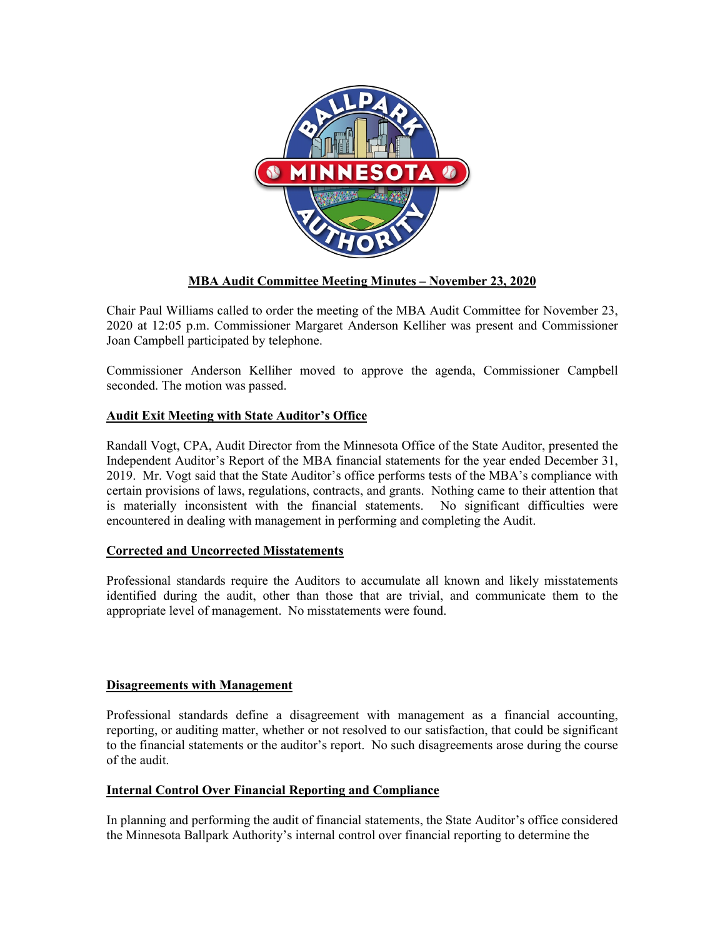

# **MBA Audit Committee Meeting Minutes – November 23, 2020**

Chair Paul Williams called to order the meeting of the MBA Audit Committee for November 23, 2020 at 12:05 p.m. Commissioner Margaret Anderson Kelliher was present and Commissioner Joan Campbell participated by telephone.

Commissioner Anderson Kelliher moved to approve the agenda, Commissioner Campbell seconded. The motion was passed.

# **Audit Exit Meeting with State Auditor's Office**

Randall Vogt, CPA, Audit Director from the Minnesota Office of the State Auditor, presented the Independent Auditor's Report of the MBA financial statements for the year ended December 31, 2019. Mr. Vogt said that the State Auditor's office performs tests of the MBA's compliance with certain provisions of laws, regulations, contracts, and grants. Nothing came to their attention that is materially inconsistent with the financial statements. No significant difficulties were encountered in dealing with management in performing and completing the Audit.

### **Corrected and Uncorrected Misstatements**

Professional standards require the Auditors to accumulate all known and likely misstatements identified during the audit, other than those that are trivial, and communicate them to the appropriate level of management. No misstatements were found.

### **Disagreements with Management**

Professional standards define a disagreement with management as a financial accounting, reporting, or auditing matter, whether or not resolved to our satisfaction, that could be significant to the financial statements or the auditor's report. No such disagreements arose during the course of the audit.

# **Internal Control Over Financial Reporting and Compliance**

In planning and performing the audit of financial statements, the State Auditor's office considered the Minnesota Ballpark Authority's internal control over financial reporting to determine the